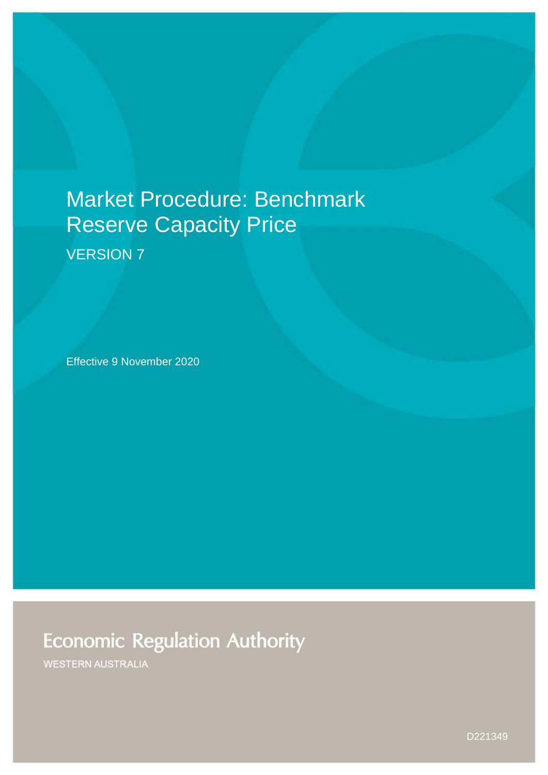# Market Procedure: Benchmark Reserve Capacity Price

VERSION 7

Effective 9 November 2020

## **Economic Regulation Authority**

**WESTERN AUSTRALIA** 

D221349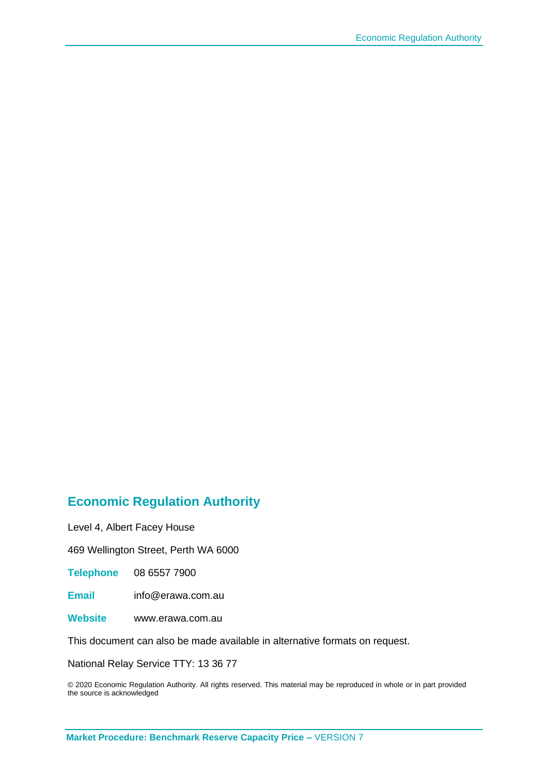#### **Economic Regulation Authority**

Level 4, Albert Facey House

469 Wellington Street, Perth WA 6000

**Telephone** 08 6557 7900

**Email** info@erawa.com.au

**Website** www.erawa.com.au

This document can also be made available in alternative formats on request.

National Relay Service TTY: 13 36 77

© 2020 Economic Regulation Authority. All rights reserved. This material may be reproduced in whole or in part provided the source is acknowledged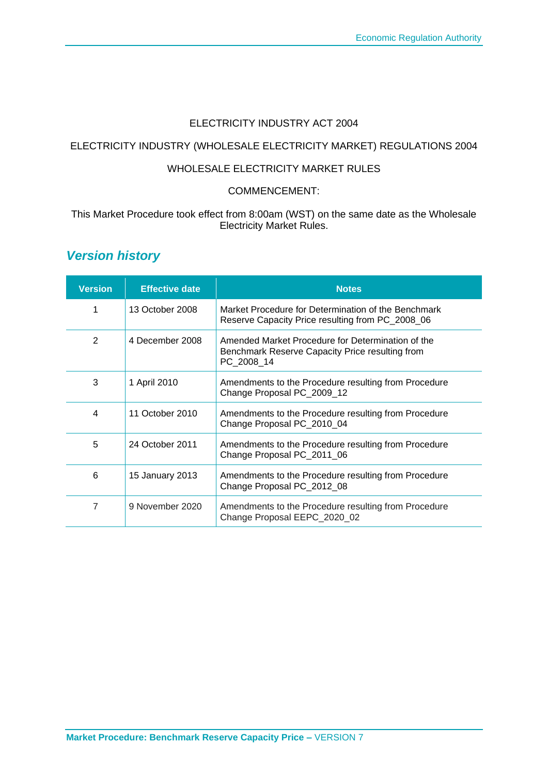#### ELECTRICITY INDUSTRY ACT 2004

#### ELECTRICITY INDUSTRY (WHOLESALE ELECTRICITY MARKET) REGULATIONS 2004

#### WHOLESALE ELECTRICITY MARKET RULES

#### COMMENCEMENT:

#### This Market Procedure took effect from 8:00am (WST) on the same date as the Wholesale Electricity Market Rules.

#### *Version history*

| <b>Version</b> | <b>Effective date</b> | <b>Notes</b>                                                                                                       |
|----------------|-----------------------|--------------------------------------------------------------------------------------------------------------------|
| 1              | 13 October 2008       | Market Procedure for Determination of the Benchmark<br>Reserve Capacity Price resulting from PC_2008_06            |
| $\mathbf{2}$   | 4 December 2008       | Amended Market Procedure for Determination of the<br>Benchmark Reserve Capacity Price resulting from<br>PC 2008 14 |
| 3              | 1 April 2010          | Amendments to the Procedure resulting from Procedure<br>Change Proposal PC_2009_12                                 |
| 4              | 11 October 2010       | Amendments to the Procedure resulting from Procedure<br>Change Proposal PC_2010_04                                 |
| 5              | 24 October 2011       | Amendments to the Procedure resulting from Procedure<br>Change Proposal PC_2011_06                                 |
| 6              | 15 January 2013       | Amendments to the Procedure resulting from Procedure<br>Change Proposal PC_2012_08                                 |
| 7              | 9 November 2020       | Amendments to the Procedure resulting from Procedure<br>Change Proposal EEPC_2020_02                               |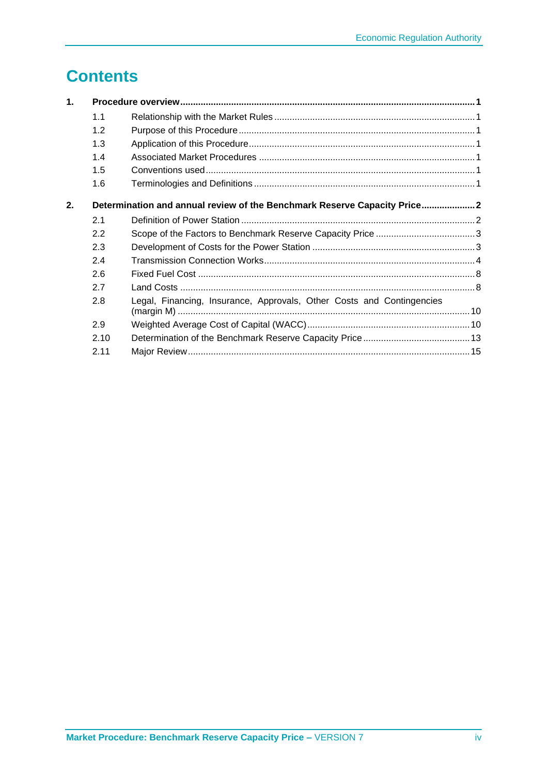## **Contents**

| 1. |      |                                                                          |  |
|----|------|--------------------------------------------------------------------------|--|
|    | 1.1  |                                                                          |  |
|    | 1.2  |                                                                          |  |
|    | 1.3  |                                                                          |  |
|    | 1.4  |                                                                          |  |
|    | 1.5  |                                                                          |  |
|    | 1.6  |                                                                          |  |
| 2. |      | Determination and annual review of the Benchmark Reserve Capacity Price2 |  |
|    | 2.1  |                                                                          |  |
|    | 2.2  |                                                                          |  |
|    | 2.3  |                                                                          |  |
|    | 2.4  |                                                                          |  |
|    | 2.6  |                                                                          |  |
|    | 2.7  |                                                                          |  |
|    | 2.8  | Legal, Financing, Insurance, Approvals, Other Costs and Contingencies    |  |
|    | 2.9  |                                                                          |  |
|    | 2.10 |                                                                          |  |
|    | 2.11 |                                                                          |  |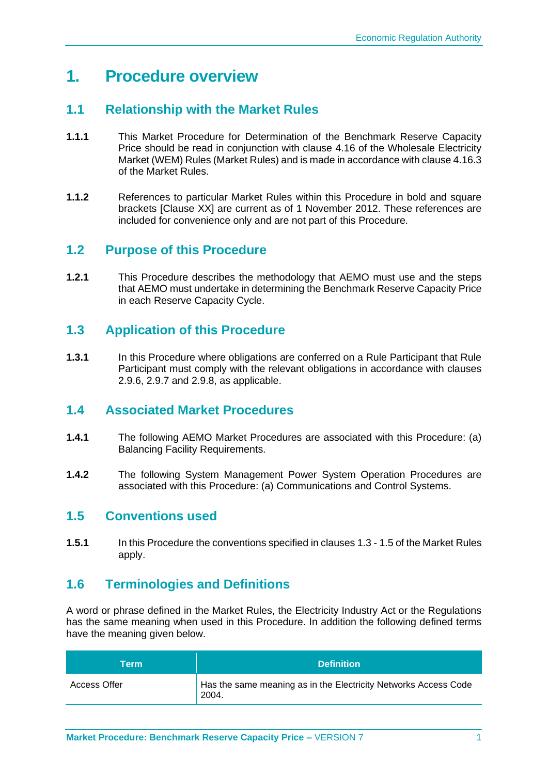## **1. Procedure overview**

#### <span id="page-4-0"></span>**1.1 Relationship with the Market Rules**

- **1.1.1** This Market Procedure for Determination of the Benchmark Reserve Capacity Price should be read in conjunction with clause 4.16 of the Wholesale Electricity Market (WEM) Rules (Market Rules) and is made in accordance with clause 4.16.3 of the Market Rules.
- **1.1.2** References to particular Market Rules within this Procedure in bold and square brackets [Clause XX] are current as of 1 November 2012. These references are included for convenience only and are not part of this Procedure.

#### <span id="page-4-1"></span>**1.2 Purpose of this Procedure**

**1.2.1** This Procedure describes the methodology that AEMO must use and the steps that AEMO must undertake in determining the Benchmark Reserve Capacity Price in each Reserve Capacity Cycle.

#### <span id="page-4-2"></span>**1.3 Application of this Procedure**

**1.3.1** In this Procedure where obligations are conferred on a Rule Participant that Rule Participant must comply with the relevant obligations in accordance with clauses 2.9.6, 2.9.7 and 2.9.8, as applicable.

#### <span id="page-4-3"></span>**1.4 Associated Market Procedures**

- **1.4.1** The following AEMO Market Procedures are associated with this Procedure: (a) Balancing Facility Requirements.
- **1.4.2** The following System Management Power System Operation Procedures are associated with this Procedure: (a) Communications and Control Systems.

#### <span id="page-4-4"></span>**1.5 Conventions used**

**1.5.1** In this Procedure the conventions specified in clauses 1.3 - 1.5 of the Market Rules apply.

#### <span id="page-4-5"></span>**1.6 Terminologies and Definitions**

A word or phrase defined in the Market Rules, the Electricity Industry Act or the Regulations has the same meaning when used in this Procedure. In addition the following defined terms have the meaning given below.

| Term                | <b>Definition</b>                                                        |  |
|---------------------|--------------------------------------------------------------------------|--|
| <b>Access Offer</b> | Has the same meaning as in the Electricity Networks Access Code<br>2004. |  |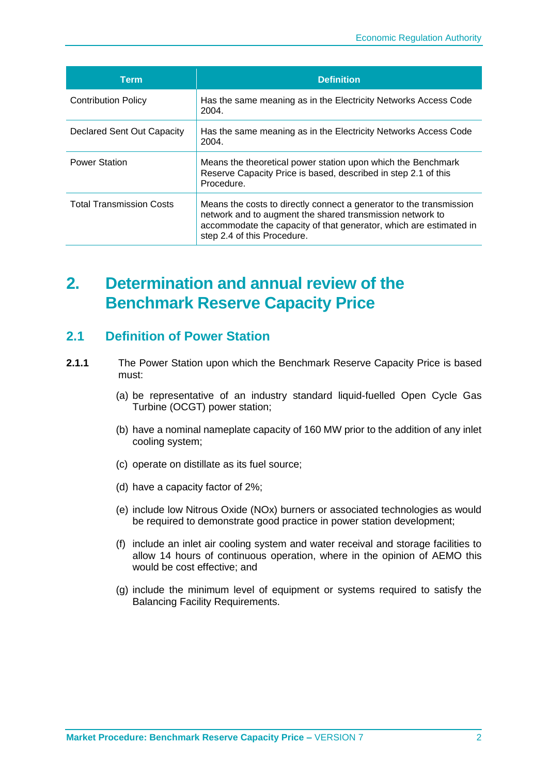| <b>Term</b>                     | <b>Definition</b>                                                                                                                                                                                                                     |  |
|---------------------------------|---------------------------------------------------------------------------------------------------------------------------------------------------------------------------------------------------------------------------------------|--|
| <b>Contribution Policy</b>      | Has the same meaning as in the Electricity Networks Access Code<br>2004.                                                                                                                                                              |  |
| Declared Sent Out Capacity      | Has the same meaning as in the Electricity Networks Access Code<br>2004.                                                                                                                                                              |  |
| <b>Power Station</b>            | Means the theoretical power station upon which the Benchmark<br>Reserve Capacity Price is based, described in step 2.1 of this<br>Procedure.                                                                                          |  |
| <b>Total Transmission Costs</b> | Means the costs to directly connect a generator to the transmission<br>network and to augment the shared transmission network to<br>accommodate the capacity of that generator, which are estimated in<br>step 2.4 of this Procedure. |  |

## <span id="page-5-0"></span>**2. Determination and annual review of the Benchmark Reserve Capacity Price**

#### <span id="page-5-1"></span>**2.1 Definition of Power Station**

- **2.1.1** The Power Station upon which the Benchmark Reserve Capacity Price is based must:
	- (a) be representative of an industry standard liquid-fuelled Open Cycle Gas Turbine (OCGT) power station;
	- (b) have a nominal nameplate capacity of 160 MW prior to the addition of any inlet cooling system;
	- (c) operate on distillate as its fuel source;
	- (d) have a capacity factor of 2%;
	- (e) include low Nitrous Oxide (NOx) burners or associated technologies as would be required to demonstrate good practice in power station development;
	- (f) include an inlet air cooling system and water receival and storage facilities to allow 14 hours of continuous operation, where in the opinion of AEMO this would be cost effective; and
	- (g) include the minimum level of equipment or systems required to satisfy the Balancing Facility Requirements.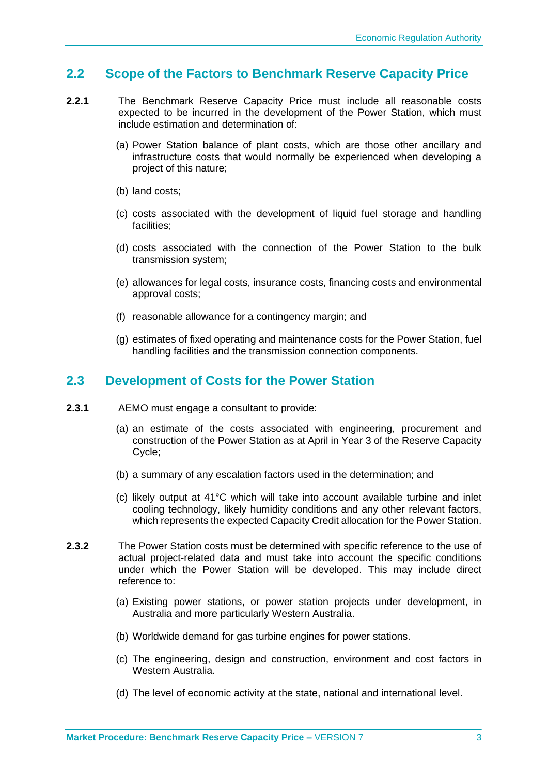#### <span id="page-6-0"></span>**2.2 Scope of the Factors to Benchmark Reserve Capacity Price**

- **2.2.1** The Benchmark Reserve Capacity Price must include all reasonable costs expected to be incurred in the development of the Power Station, which must include estimation and determination of:
	- (a) Power Station balance of plant costs, which are those other ancillary and infrastructure costs that would normally be experienced when developing a project of this nature;
	- (b) land costs;
	- (c) costs associated with the development of liquid fuel storage and handling facilities;
	- (d) costs associated with the connection of the Power Station to the bulk transmission system;
	- (e) allowances for legal costs, insurance costs, financing costs and environmental approval costs;
	- (f) reasonable allowance for a contingency margin; and
	- (g) estimates of fixed operating and maintenance costs for the Power Station, fuel handling facilities and the transmission connection components.

#### <span id="page-6-1"></span>**2.3 Development of Costs for the Power Station**

- **2.3.1** AEMO must engage a consultant to provide:
	- (a) an estimate of the costs associated with engineering, procurement and construction of the Power Station as at April in Year 3 of the Reserve Capacity Cycle;
	- (b) a summary of any escalation factors used in the determination; and
	- (c) likely output at 41°C which will take into account available turbine and inlet cooling technology, likely humidity conditions and any other relevant factors, which represents the expected Capacity Credit allocation for the Power Station.
- **2.3.2** The Power Station costs must be determined with specific reference to the use of actual project-related data and must take into account the specific conditions under which the Power Station will be developed. This may include direct reference to:
	- (a) Existing power stations, or power station projects under development, in Australia and more particularly Western Australia.
	- (b) Worldwide demand for gas turbine engines for power stations.
	- (c) The engineering, design and construction, environment and cost factors in Western Australia.
	- (d) The level of economic activity at the state, national and international level.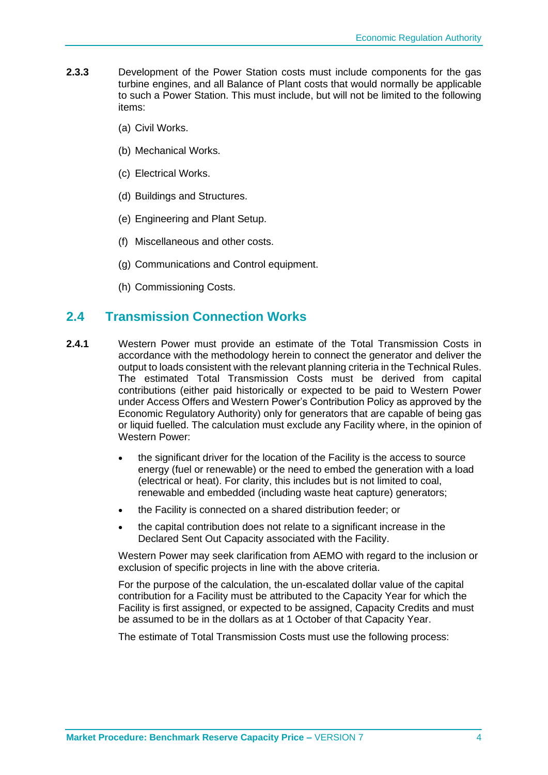- **2.3.3** Development of the Power Station costs must include components for the gas turbine engines, and all Balance of Plant costs that would normally be applicable to such a Power Station. This must include, but will not be limited to the following items:
	- (a) Civil Works.
	- (b) Mechanical Works.
	- (c) Electrical Works.
	- (d) Buildings and Structures.
	- (e) Engineering and Plant Setup.
	- (f) Miscellaneous and other costs.
	- (g) Communications and Control equipment.
	- (h) Commissioning Costs.

#### <span id="page-7-0"></span>**2.4 Transmission Connection Works**

- **2.4.1** Western Power must provide an estimate of the Total Transmission Costs in accordance with the methodology herein to connect the generator and deliver the output to loads consistent with the relevant planning criteria in the Technical Rules. The estimated Total Transmission Costs must be derived from capital contributions (either paid historically or expected to be paid to Western Power under Access Offers and Western Power's Contribution Policy as approved by the Economic Regulatory Authority) only for generators that are capable of being gas or liquid fuelled. The calculation must exclude any Facility where, in the opinion of Western Power:
	- the significant driver for the location of the Facility is the access to source energy (fuel or renewable) or the need to embed the generation with a load (electrical or heat). For clarity, this includes but is not limited to coal, renewable and embedded (including waste heat capture) generators;
	- the Facility is connected on a shared distribution feeder; or
	- the capital contribution does not relate to a significant increase in the Declared Sent Out Capacity associated with the Facility.

Western Power may seek clarification from AEMO with regard to the inclusion or exclusion of specific projects in line with the above criteria.

For the purpose of the calculation, the un-escalated dollar value of the capital contribution for a Facility must be attributed to the Capacity Year for which the Facility is first assigned, or expected to be assigned, Capacity Credits and must be assumed to be in the dollars as at 1 October of that Capacity Year.

The estimate of Total Transmission Costs must use the following process: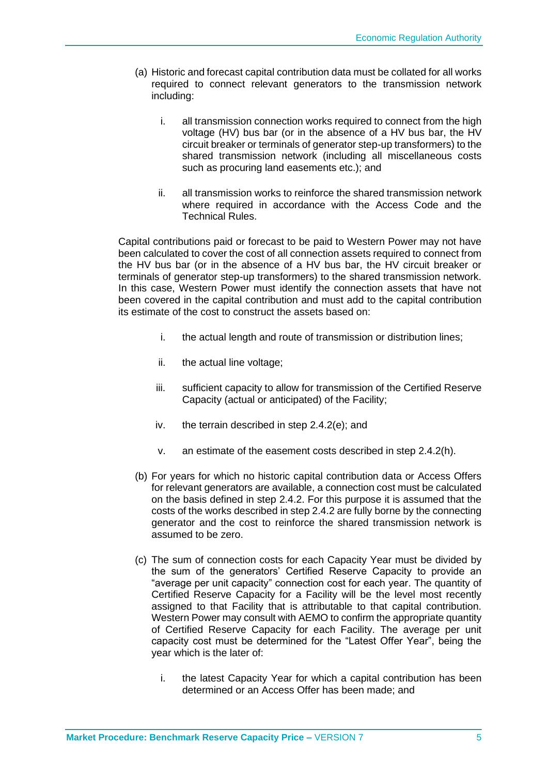- (a) Historic and forecast capital contribution data must be collated for all works required to connect relevant generators to the transmission network including:
	- i. all transmission connection works required to connect from the high voltage (HV) bus bar (or in the absence of a HV bus bar, the HV circuit breaker or terminals of generator step-up transformers) to the shared transmission network (including all miscellaneous costs such as procuring land easements etc.); and
	- ii. all transmission works to reinforce the shared transmission network where required in accordance with the Access Code and the Technical Rules.

Capital contributions paid or forecast to be paid to Western Power may not have been calculated to cover the cost of all connection assets required to connect from the HV bus bar (or in the absence of a HV bus bar, the HV circuit breaker or terminals of generator step-up transformers) to the shared transmission network. In this case, Western Power must identify the connection assets that have not been covered in the capital contribution and must add to the capital contribution its estimate of the cost to construct the assets based on:

- i. the actual length and route of transmission or distribution lines;
- ii. the actual line voltage;
- iii. sufficient capacity to allow for transmission of the Certified Reserve Capacity (actual or anticipated) of the Facility;
- iv. the terrain described in step 2.4.2(e); and
- v. an estimate of the easement costs described in step 2.4.2(h).
- (b) For years for which no historic capital contribution data or Access Offers for relevant generators are available, a connection cost must be calculated on the basis defined in step 2.4.2. For this purpose it is assumed that the costs of the works described in step 2.4.2 are fully borne by the connecting generator and the cost to reinforce the shared transmission network is assumed to be zero.
- (c) The sum of connection costs for each Capacity Year must be divided by the sum of the generators' Certified Reserve Capacity to provide an "average per unit capacity" connection cost for each year. The quantity of Certified Reserve Capacity for a Facility will be the level most recently assigned to that Facility that is attributable to that capital contribution. Western Power may consult with AEMO to confirm the appropriate quantity of Certified Reserve Capacity for each Facility. The average per unit capacity cost must be determined for the "Latest Offer Year", being the year which is the later of:
	- i. the latest Capacity Year for which a capital contribution has been determined or an Access Offer has been made; and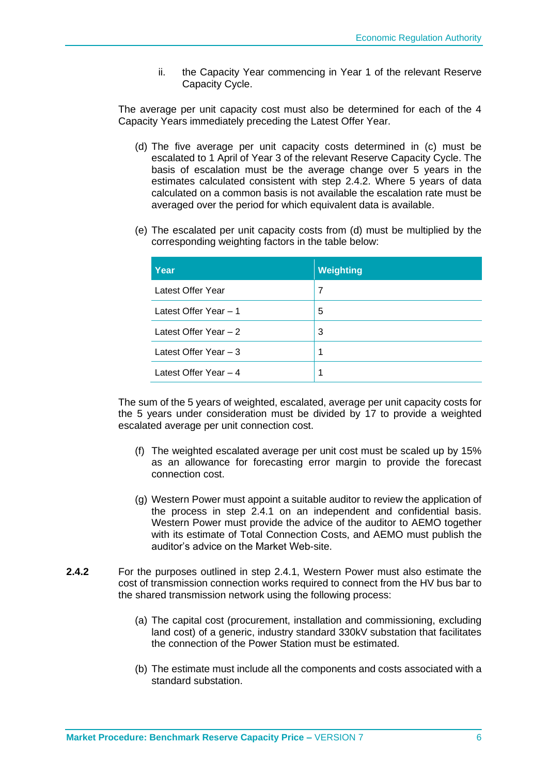ii. the Capacity Year commencing in Year 1 of the relevant Reserve Capacity Cycle.

The average per unit capacity cost must also be determined for each of the 4 Capacity Years immediately preceding the Latest Offer Year.

- (d) The five average per unit capacity costs determined in (c) must be escalated to 1 April of Year 3 of the relevant Reserve Capacity Cycle. The basis of escalation must be the average change over 5 years in the estimates calculated consistent with step 2.4.2. Where 5 years of data calculated on a common basis is not available the escalation rate must be averaged over the period for which equivalent data is available.
- (e) The escalated per unit capacity costs from (d) must be multiplied by the corresponding weighting factors in the table below:

| Year                   | <b>Weighting</b> |
|------------------------|------------------|
| Latest Offer Year      | 7                |
| Latest Offer Year - 1  | 5                |
| Latest Offer Year - 2  | 3                |
| Latest Offer Year $-3$ | 1                |
| Latest Offer Year - 4  | 1                |

The sum of the 5 years of weighted, escalated, average per unit capacity costs for the 5 years under consideration must be divided by 17 to provide a weighted escalated average per unit connection cost.

- (f) The weighted escalated average per unit cost must be scaled up by 15% as an allowance for forecasting error margin to provide the forecast connection cost.
- (g) Western Power must appoint a suitable auditor to review the application of the process in step 2.4.1 on an independent and confidential basis. Western Power must provide the advice of the auditor to AEMO together with its estimate of Total Connection Costs, and AEMO must publish the auditor's advice on the Market Web-site.
- **2.4.2** For the purposes outlined in step 2.4.1, Western Power must also estimate the cost of transmission connection works required to connect from the HV bus bar to the shared transmission network using the following process:
	- (a) The capital cost (procurement, installation and commissioning, excluding land cost) of a generic, industry standard 330kV substation that facilitates the connection of the Power Station must be estimated.
	- (b) The estimate must include all the components and costs associated with a standard substation.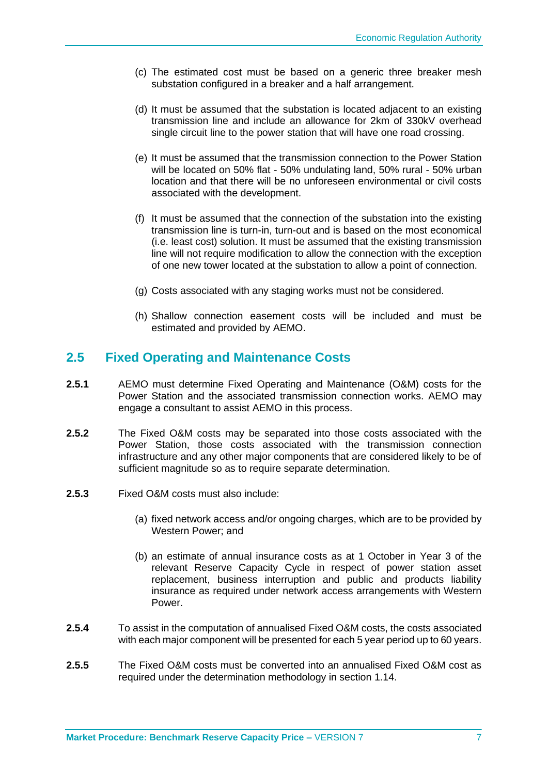- (c) The estimated cost must be based on a generic three breaker mesh substation configured in a breaker and a half arrangement.
- (d) It must be assumed that the substation is located adjacent to an existing transmission line and include an allowance for 2km of 330kV overhead single circuit line to the power station that will have one road crossing.
- (e) It must be assumed that the transmission connection to the Power Station will be located on 50% flat - 50% undulating land, 50% rural - 50% urban location and that there will be no unforeseen environmental or civil costs associated with the development.
- (f) It must be assumed that the connection of the substation into the existing transmission line is turn-in, turn-out and is based on the most economical (i.e. least cost) solution. It must be assumed that the existing transmission line will not require modification to allow the connection with the exception of one new tower located at the substation to allow a point of connection.
- (g) Costs associated with any staging works must not be considered.
- (h) Shallow connection easement costs will be included and must be estimated and provided by AEMO.

#### **2.5 Fixed Operating and Maintenance Costs**

- **2.5.1** AEMO must determine Fixed Operating and Maintenance (O&M) costs for the Power Station and the associated transmission connection works. AEMO may engage a consultant to assist AEMO in this process.
- **2.5.2** The Fixed O&M costs may be separated into those costs associated with the Power Station, those costs associated with the transmission connection infrastructure and any other major components that are considered likely to be of sufficient magnitude so as to require separate determination.
- **2.5.3** Fixed O&M costs must also include:
	- (a) fixed network access and/or ongoing charges, which are to be provided by Western Power; and
	- (b) an estimate of annual insurance costs as at 1 October in Year 3 of the relevant Reserve Capacity Cycle in respect of power station asset replacement, business interruption and public and products liability insurance as required under network access arrangements with Western Power.
- **2.5.4** To assist in the computation of annualised Fixed O&M costs, the costs associated with each major component will be presented for each 5 year period up to 60 years.
- **2.5.5** The Fixed O&M costs must be converted into an annualised Fixed O&M cost as required under the determination methodology in section 1.14.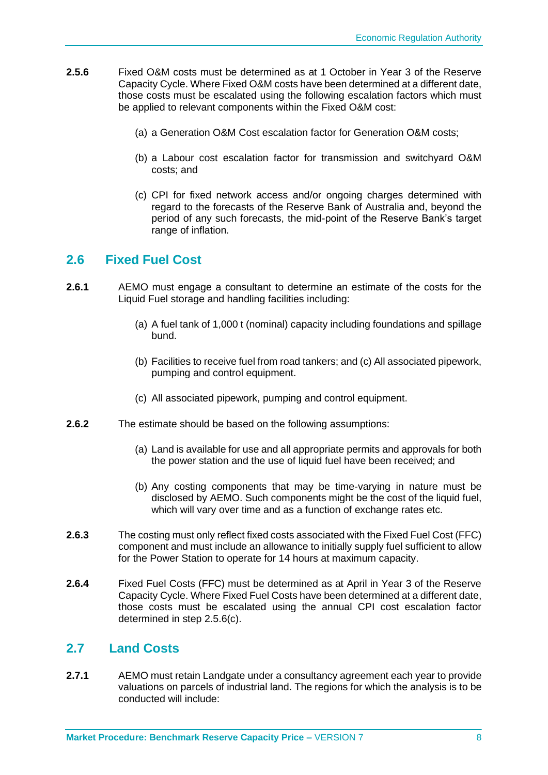- **2.5.6** Fixed O&M costs must be determined as at 1 October in Year 3 of the Reserve Capacity Cycle. Where Fixed O&M costs have been determined at a different date, those costs must be escalated using the following escalation factors which must be applied to relevant components within the Fixed O&M cost:
	- (a) a Generation O&M Cost escalation factor for Generation O&M costs;
	- (b) a Labour cost escalation factor for transmission and switchyard O&M costs; and
	- (c) CPI for fixed network access and/or ongoing charges determined with regard to the forecasts of the Reserve Bank of Australia and, beyond the period of any such forecasts, the mid-point of the Reserve Bank's target range of inflation.

#### <span id="page-11-0"></span>**2.6 Fixed Fuel Cost**

- **2.6.1** AEMO must engage a consultant to determine an estimate of the costs for the Liquid Fuel storage and handling facilities including:
	- (a) A fuel tank of 1,000 t (nominal) capacity including foundations and spillage bund.
	- (b) Facilities to receive fuel from road tankers; and (c) All associated pipework, pumping and control equipment.
	- (c) All associated pipework, pumping and control equipment.
- **2.6.2** The estimate should be based on the following assumptions:
	- (a) Land is available for use and all appropriate permits and approvals for both the power station and the use of liquid fuel have been received; and
	- (b) Any costing components that may be time-varying in nature must be disclosed by AEMO. Such components might be the cost of the liquid fuel, which will vary over time and as a function of exchange rates etc.
- **2.6.3** The costing must only reflect fixed costs associated with the Fixed Fuel Cost (FFC) component and must include an allowance to initially supply fuel sufficient to allow for the Power Station to operate for 14 hours at maximum capacity.
- **2.6.4** Fixed Fuel Costs (FFC) must be determined as at April in Year 3 of the Reserve Capacity Cycle. Where Fixed Fuel Costs have been determined at a different date, those costs must be escalated using the annual CPI cost escalation factor determined in step 2.5.6(c).

#### <span id="page-11-1"></span>**2.7 Land Costs**

**2.7.1** AEMO must retain Landgate under a consultancy agreement each year to provide valuations on parcels of industrial land. The regions for which the analysis is to be conducted will include: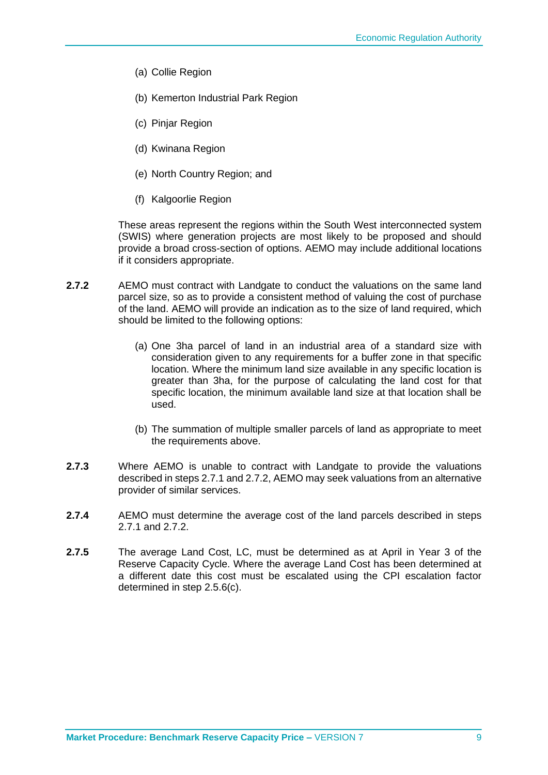- (a) Collie Region
- (b) Kemerton Industrial Park Region
- (c) Pinjar Region
- (d) Kwinana Region
- (e) North Country Region; and
- (f) Kalgoorlie Region

These areas represent the regions within the South West interconnected system (SWIS) where generation projects are most likely to be proposed and should provide a broad cross-section of options. AEMO may include additional locations if it considers appropriate.

- **2.7.2** AEMO must contract with Landgate to conduct the valuations on the same land parcel size, so as to provide a consistent method of valuing the cost of purchase of the land. AEMO will provide an indication as to the size of land required, which should be limited to the following options:
	- (a) One 3ha parcel of land in an industrial area of a standard size with consideration given to any requirements for a buffer zone in that specific location. Where the minimum land size available in any specific location is greater than 3ha, for the purpose of calculating the land cost for that specific location, the minimum available land size at that location shall be used.
	- (b) The summation of multiple smaller parcels of land as appropriate to meet the requirements above.
- **2.7.3** Where AEMO is unable to contract with Landgate to provide the valuations described in steps 2.7.1 and 2.7.2, AEMO may seek valuations from an alternative provider of similar services.
- **2.7.4** AEMO must determine the average cost of the land parcels described in steps 2.7.1 and 2.7.2.
- **2.7.5** The average Land Cost, LC, must be determined as at April in Year 3 of the Reserve Capacity Cycle. Where the average Land Cost has been determined at a different date this cost must be escalated using the CPI escalation factor determined in step 2.5.6(c).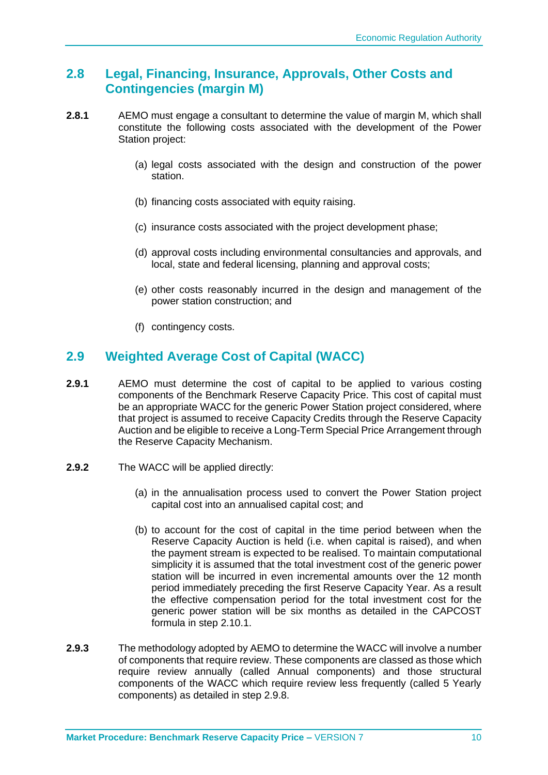#### <span id="page-13-0"></span>**2.8 Legal, Financing, Insurance, Approvals, Other Costs and Contingencies (margin M)**

- **2.8.1** AEMO must engage a consultant to determine the value of margin M, which shall constitute the following costs associated with the development of the Power Station project:
	- (a) legal costs associated with the design and construction of the power station.
	- (b) financing costs associated with equity raising.
	- (c) insurance costs associated with the project development phase;
	- (d) approval costs including environmental consultancies and approvals, and local, state and federal licensing, planning and approval costs;
	- (e) other costs reasonably incurred in the design and management of the power station construction; and
	- (f) contingency costs.

#### <span id="page-13-1"></span>**2.9 Weighted Average Cost of Capital (WACC)**

- **2.9.1** AEMO must determine the cost of capital to be applied to various costing components of the Benchmark Reserve Capacity Price. This cost of capital must be an appropriate WACC for the generic Power Station project considered, where that project is assumed to receive Capacity Credits through the Reserve Capacity Auction and be eligible to receive a Long-Term Special Price Arrangement through the Reserve Capacity Mechanism.
- **2.9.2** The WACC will be applied directly:
	- (a) in the annualisation process used to convert the Power Station project capital cost into an annualised capital cost; and
	- (b) to account for the cost of capital in the time period between when the Reserve Capacity Auction is held (i.e. when capital is raised), and when the payment stream is expected to be realised. To maintain computational simplicity it is assumed that the total investment cost of the generic power station will be incurred in even incremental amounts over the 12 month period immediately preceding the first Reserve Capacity Year. As a result the effective compensation period for the total investment cost for the generic power station will be six months as detailed in the CAPCOST formula in step 2.10.1.
- **2.9.3** The methodology adopted by AEMO to determine the WACC will involve a number of components that require review. These components are classed as those which require review annually (called Annual components) and those structural components of the WACC which require review less frequently (called 5 Yearly components) as detailed in step 2.9.8.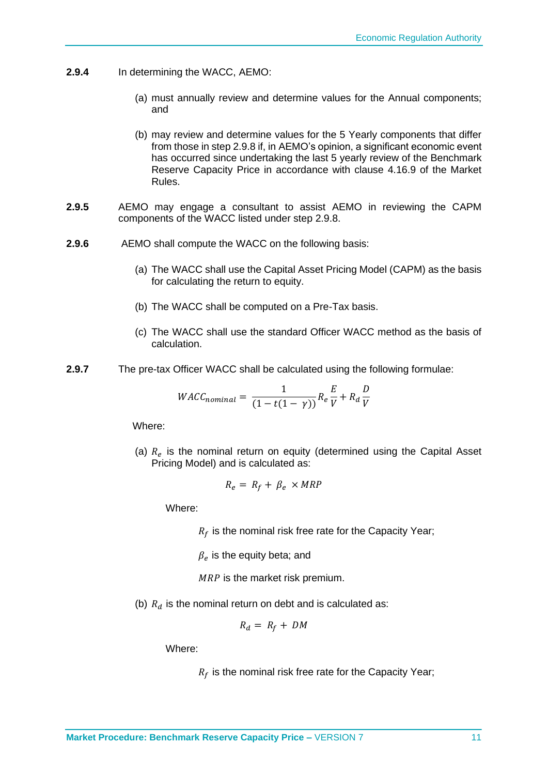- **2.9.4** In determining the WACC, AEMO:
	- (a) must annually review and determine values for the Annual components; and
	- (b) may review and determine values for the 5 Yearly components that differ from those in step 2.9.8 if, in AEMO's opinion, a significant economic event has occurred since undertaking the last 5 yearly review of the Benchmark Reserve Capacity Price in accordance with clause 4.16.9 of the Market Rules.
- **2.9.5** AEMO may engage a consultant to assist AEMO in reviewing the CAPM components of the WACC listed under step 2.9.8.
- **2.9.6** AEMO shall compute the WACC on the following basis:
	- (a) The WACC shall use the Capital Asset Pricing Model (CAPM) as the basis for calculating the return to equity.
	- (b) The WACC shall be computed on a Pre-Tax basis.
	- (c) The WACC shall use the standard Officer WACC method as the basis of calculation.
- **2.9.7** The pre-tax Officer WACC shall be calculated using the following formulae:

$$
WACC_{nominal} = \frac{1}{(1 - t(1 - \gamma))} R_e \frac{E}{V} + R_d \frac{D}{V}
$$

Where:

(a)  $R_e$  is the nominal return on equity (determined using the Capital Asset Pricing Model) and is calculated as:

$$
R_e = R_f + \beta_e \times MRP
$$

Where:

 $R_f$  is the nominal risk free rate for the Capacity Year;

 $\beta_e$  is the equity beta; and

 $MRP$  is the market risk premium.

(b)  $R_d$  is the nominal return on debt and is calculated as:

$$
R_d = R_f + DM
$$

Where:

 $R_f$  is the nominal risk free rate for the Capacity Year;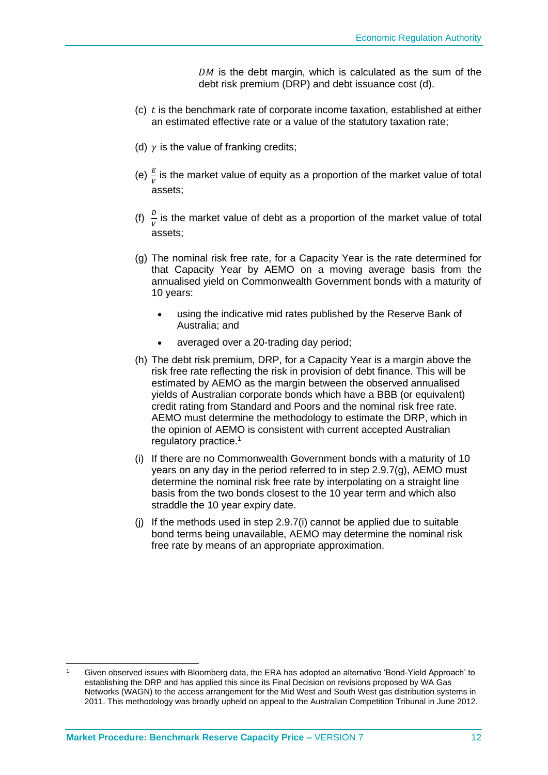$DM$  is the debt margin, which is calculated as the sum of the debt risk premium (DRP) and debt issuance cost (d).

- $(c)$  t is the benchmark rate of corporate income taxation, established at either an estimated effective rate or a value of the statutory taxation rate;
- (d)  $\gamma$  is the value of franking credits;
- (e)  $\frac{E}{V}$  is the market value of equity as a proportion of the market value of total assets;
- (f)  $\frac{D}{V}$  is the market value of debt as a proportion of the market value of total assets;
- (g) The nominal risk free rate, for a Capacity Year is the rate determined for that Capacity Year by AEMO on a moving average basis from the annualised yield on Commonwealth Government bonds with a maturity of 10 years:
	- using the indicative mid rates published by the Reserve Bank of Australia; and
	- averaged over a 20-trading day period;
- (h) The debt risk premium, DRP, for a Capacity Year is a margin above the risk free rate reflecting the risk in provision of debt finance. This will be estimated by AEMO as the margin between the observed annualised yields of Australian corporate bonds which have a BBB (or equivalent) credit rating from Standard and Poors and the nominal risk free rate. AEMO must determine the methodology to estimate the DRP, which in the opinion of AEMO is consistent with current accepted Australian regulatory practice.<sup>1</sup>
- (i) If there are no Commonwealth Government bonds with a maturity of 10 years on any day in the period referred to in step 2.9.7(g), AEMO must determine the nominal risk free rate by interpolating on a straight line basis from the two bonds closest to the 10 year term and which also straddle the 10 year expiry date.
- (j) If the methods used in step 2.9.7(i) cannot be applied due to suitable bond terms being unavailable, AEMO may determine the nominal risk free rate by means of an appropriate approximation.

Given observed issues with Bloomberg data, the ERA has adopted an alternative 'Bond-Yield Approach' to establishing the DRP and has applied this since its Final Decision on revisions proposed by WA Gas Networks (WAGN) to the access arrangement for the Mid West and South West gas distribution systems in 2011. This methodology was broadly upheld on appeal to the Australian Competition Tribunal in June 2012.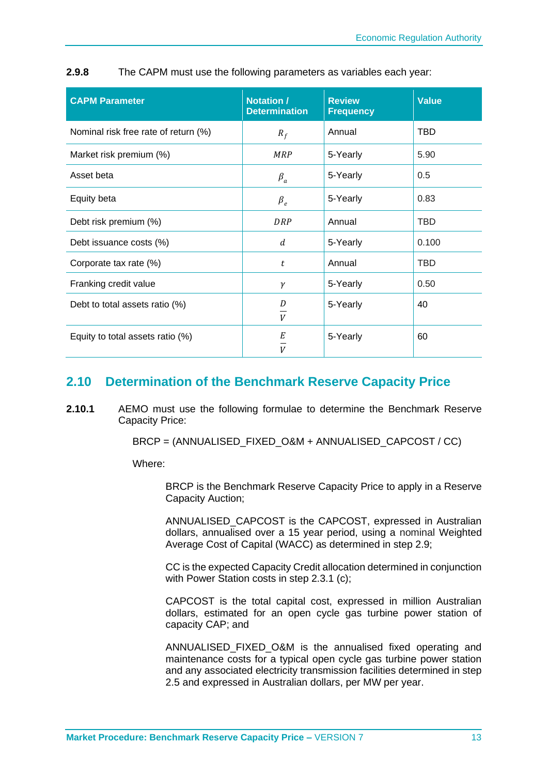| <b>CAPM Parameter</b>                | <b>Notation /</b><br><b>Determination</b> | <b>Review</b><br><b>Frequency</b> | <b>Value</b> |
|--------------------------------------|-------------------------------------------|-----------------------------------|--------------|
| Nominal risk free rate of return (%) | $R_f$                                     | Annual                            | <b>TBD</b>   |
| Market risk premium (%)              | <b>MRP</b>                                | 5-Yearly                          | 5.90         |
| Asset beta                           | $\beta_a$                                 | 5-Yearly                          | 0.5          |
| Equity beta                          | $\beta_e$                                 | 5-Yearly                          | 0.83         |
| Debt risk premium (%)                | DRP                                       | Annual                            | <b>TBD</b>   |
| Debt issuance costs (%)              | d                                         | 5-Yearly                          | 0.100        |
| Corporate tax rate (%)               | t                                         | Annual                            | <b>TBD</b>   |
| Franking credit value                | γ                                         | 5-Yearly                          | 0.50         |
| Debt to total assets ratio (%)       | D<br>$\boldsymbol{V}$                     | 5-Yearly                          | 40           |
| Equity to total assets ratio (%)     | Е<br>V                                    | 5-Yearly                          | 60           |

**2.9.8** The CAPM must use the following parameters as variables each year:

#### <span id="page-16-0"></span>**2.10 Determination of the Benchmark Reserve Capacity Price**

**2.10.1** AEMO must use the following formulae to determine the Benchmark Reserve Capacity Price:

BRCP = (ANNUALISED\_FIXED\_O&M + ANNUALISED\_CAPCOST / CC)

Where:

BRCP is the Benchmark Reserve Capacity Price to apply in a Reserve Capacity Auction;

ANNUALISED\_CAPCOST is the CAPCOST, expressed in Australian dollars, annualised over a 15 year period, using a nominal Weighted Average Cost of Capital (WACC) as determined in step 2.9;

CC is the expected Capacity Credit allocation determined in conjunction with Power Station costs in step 2.3.1 (c);

CAPCOST is the total capital cost, expressed in million Australian dollars, estimated for an open cycle gas turbine power station of capacity CAP; and

ANNUALISED\_FIXED\_O&M is the annualised fixed operating and maintenance costs for a typical open cycle gas turbine power station and any associated electricity transmission facilities determined in step 2.5 and expressed in Australian dollars, per MW per year.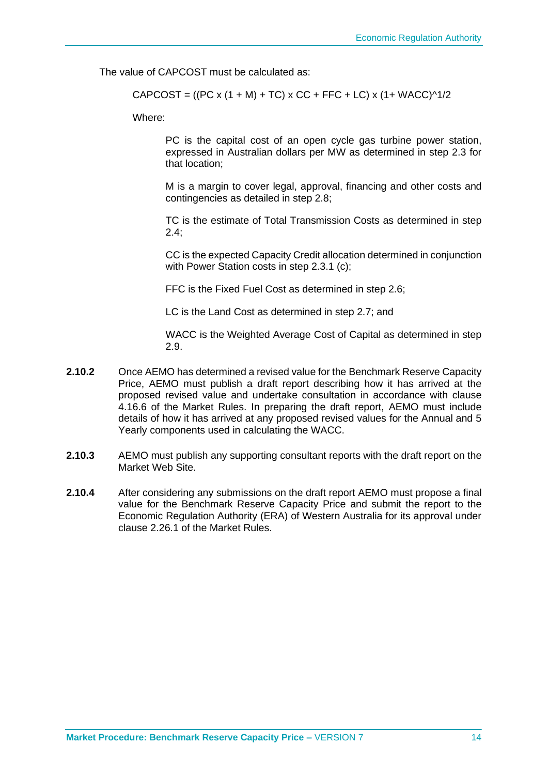The value of CAPCOST must be calculated as:

CAPCOST = ((PC x (1 + M) + TC) x CC + FFC + LC) x (1+ WACC)^1/2

Where:

PC is the capital cost of an open cycle gas turbine power station, expressed in Australian dollars per MW as determined in step 2.3 for that location;

M is a margin to cover legal, approval, financing and other costs and contingencies as detailed in step 2.8;

TC is the estimate of Total Transmission Costs as determined in step 2.4;

CC is the expected Capacity Credit allocation determined in conjunction with Power Station costs in step 2.3.1 (c);

FFC is the Fixed Fuel Cost as determined in step 2.6;

LC is the Land Cost as determined in step 2.7; and

WACC is the Weighted Average Cost of Capital as determined in step 2.9.

- **2.10.2** Once AEMO has determined a revised value for the Benchmark Reserve Capacity Price, AEMO must publish a draft report describing how it has arrived at the proposed revised value and undertake consultation in accordance with clause 4.16.6 of the Market Rules. In preparing the draft report, AEMO must include details of how it has arrived at any proposed revised values for the Annual and 5 Yearly components used in calculating the WACC.
- **2.10.3** AEMO must publish any supporting consultant reports with the draft report on the Market Web Site.
- **2.10.4** After considering any submissions on the draft report AEMO must propose a final value for the Benchmark Reserve Capacity Price and submit the report to the Economic Regulation Authority (ERA) of Western Australia for its approval under clause 2.26.1 of the Market Rules.